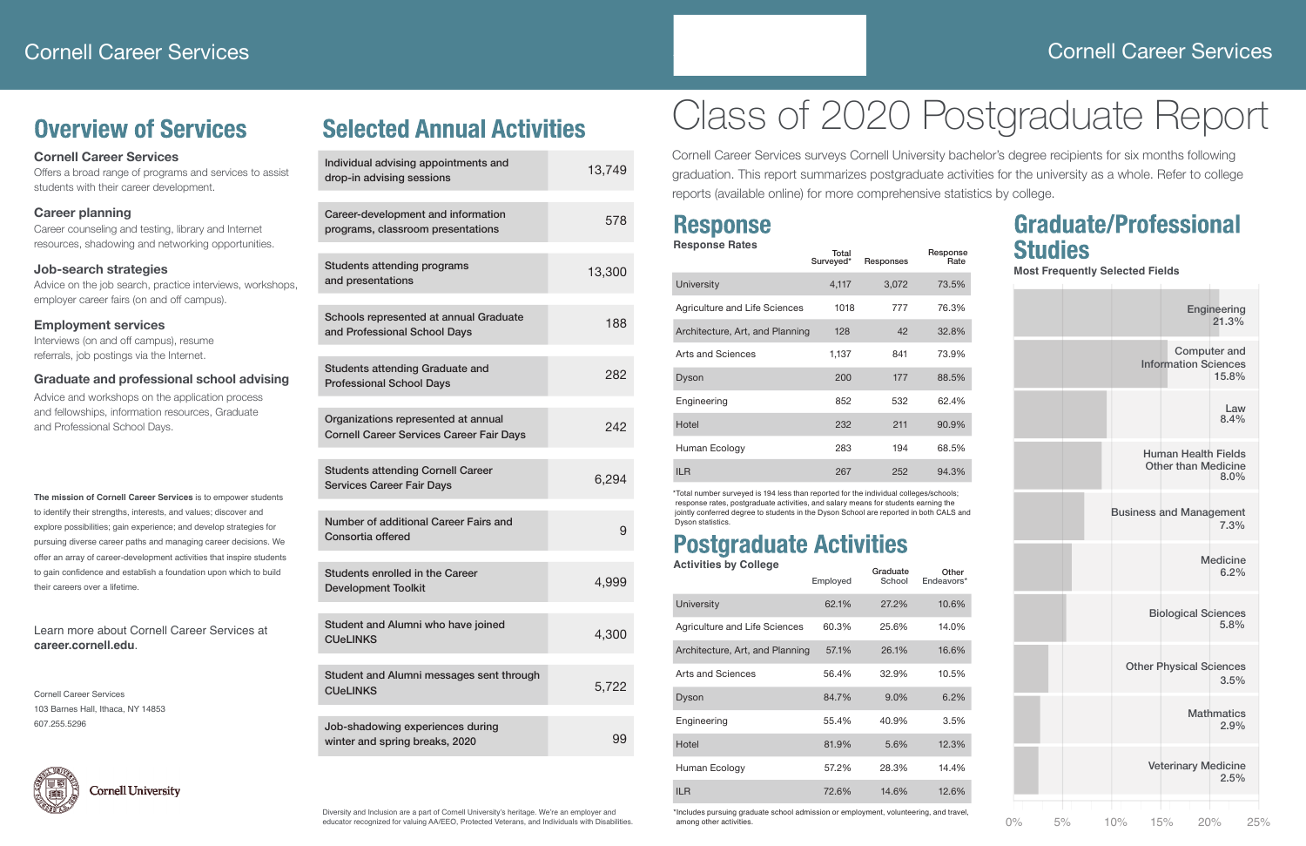### Cornell Career Services

# Class of 2020 Postgraduate Report

Cornell Career Services surveys Cornell University bachelor's degree recipients for six months following graduation. This report summarizes postgraduate activities for the university as a whole. Refer to college reports (available online) for more comprehensive statistics by college.

**The mission of Cornell Career Services** is to empower students to identify their strengths, interests, and values; discover and explore possibilities; gain experience; and develop strategies for pursuing diverse career paths and managing career decisions. We offer an array of career-development activities that inspire students to gain confidence and establish a foundation upon which to build their careers over a lifetime.

#### Learn more about Cornell Career Services at **career.cornell.edu**.

Cornell Career Services 103 Barnes Hall, Ithaca, NY 14853 607.255.5296



### **Cornell University**

Diversity and Inclusion are a part of Cornell University's heritage. We're an employer and educator recognized for valuing AA/EEO, Protected Veterans, and Individuals with Disabilities.

### **Overview of Services**

### **Cornell Career Services**

Offers a broad range of programs and services to assist students with their career development.

#### **Career planning**

Career counseling and testing, library and Internet resources, shadowing and networking opportunities.

#### **Job-search strategies**

Advice on the job search, practice interviews, workshops, employer career fairs (on and off campus).

#### **Employment services**

Interviews (on and off campus), resume referrals, job postings via the Internet.

#### **Graduate and professional school advising**

Advice and workshops on the application process and fellowships, information resources, Graduate and Professional School Days.

# **Selected Annual Activities**

| Individual advising appointments and<br>drop-in advising sessions                      | 13,749 |
|----------------------------------------------------------------------------------------|--------|
| Career-development and information<br>programs, classroom presentations                | 578    |
| <b>Students attending programs</b><br>and presentations                                | 13,300 |
| Schools represented at annual Graduate<br>and Professional School Days                 | 188    |
| <b>Students attending Graduate and</b><br><b>Professional School Days</b>              | 282    |
| Organizations represented at annual<br><b>Cornell Career Services Career Fair Days</b> | 242    |
| <b>Students attending Cornell Career</b><br><b>Services Career Fair Days</b>           | 6,294  |
| Number of additional Career Fairs and<br>Consortia offered                             | 9      |
| Students enrolled in the Career<br><b>Development Toolkit</b>                          | 4,999  |
| Student and Alumni who have joined<br><b>CUeLINKS</b>                                  | 4,300  |
| Student and Alumni messages sent through<br><b>CUeLINKS</b>                            | 5,722  |
| Job-shadowing experiences during<br>winter and spring breaks, 2020                     | 99     |

| <b>Response</b>                                                                                                                                                                                                                                                                            |                    |                    |                     |
|--------------------------------------------------------------------------------------------------------------------------------------------------------------------------------------------------------------------------------------------------------------------------------------------|--------------------|--------------------|---------------------|
| <b>Response Rates</b>                                                                                                                                                                                                                                                                      | Total<br>Surveyed* | Responses          | Response<br>Rate    |
| University                                                                                                                                                                                                                                                                                 | 4,117              | 3,072              | 73.5%               |
| Agriculture and Life Sciences                                                                                                                                                                                                                                                              | 1018               | 777                | 76.3%               |
| Architecture, Art, and Planning                                                                                                                                                                                                                                                            | 128                | 42                 | 32.8%               |
| Arts and Sciences                                                                                                                                                                                                                                                                          | 1,137              | 841                | 73.9%               |
| Dyson                                                                                                                                                                                                                                                                                      | 200                | 177                | 88.5%               |
| Engineering                                                                                                                                                                                                                                                                                | 852                | 532                | 62.4%               |
| Hotel                                                                                                                                                                                                                                                                                      | 232                | 211                | 90.9%               |
| Human Ecology                                                                                                                                                                                                                                                                              | 283                | 194                | 68.5%               |
| <b>ILR</b>                                                                                                                                                                                                                                                                                 | 267                | 252                | 94.3%               |
| *Total number surveyed is 194 less than reported for the individual colleges/schools;<br>response rates, postgraduate activities, and salary means for students earning the<br>jointly conferred degree to students in the Dyson School are reported in both CALS and<br>Dyson statistics. |                    |                    |                     |
| <b>Postgraduate Activities</b>                                                                                                                                                                                                                                                             |                    |                    |                     |
| <b>Activities by College</b>                                                                                                                                                                                                                                                               | Employed           | Graduate<br>School | Other<br>Endeavors* |
| <b>University</b>                                                                                                                                                                                                                                                                          | 62.1%              | 27.2%              | 10.6%               |
| Agriculture and Life Sciences                                                                                                                                                                                                                                                              | 60.3%              | 25.6%              | 14.0%               |
| Architecture, Art, and Planning                                                                                                                                                                                                                                                            | 57.1%              | 26.1%              | 16.6%               |
| Arts and Sciences                                                                                                                                                                                                                                                                          | 56.4%              | 32.9%              | 10.5%               |
| Dyson                                                                                                                                                                                                                                                                                      | 84.7%              | 9.0%               | 6.2%                |
| Engineering                                                                                                                                                                                                                                                                                | 55.4%              | 40.9%              | 3.5%                |
| Hotel                                                                                                                                                                                                                                                                                      | 81.9%              | 5.6%               | 12.3%               |
| Human Ecology                                                                                                                                                                                                                                                                              | 57.2%              | 28.3%              | 14.4%               |
| <b>ILR</b>                                                                                                                                                                                                                                                                                 | 72.6%              | 14.6%              | 12.6%               |
| *Includes pursuing graduate school admission or employment, volunteering, and travel,<br>among other activities.                                                                                                                                                                           |                    |                    |                     |

| <b>Response</b>                                                                                                                                                                                                                                                                            |                    |                    |                     |
|--------------------------------------------------------------------------------------------------------------------------------------------------------------------------------------------------------------------------------------------------------------------------------------------|--------------------|--------------------|---------------------|
| <b>Response Rates</b>                                                                                                                                                                                                                                                                      | Total<br>Surveyed* | Responses          | Response<br>Rate    |
| <b>University</b>                                                                                                                                                                                                                                                                          | 4,117              | 3,072              | 73.5%               |
| Agriculture and Life Sciences                                                                                                                                                                                                                                                              | 1018               | 777                | 76.3%               |
| Architecture, Art, and Planning                                                                                                                                                                                                                                                            | 128                | 42                 | 32.8%               |
| Arts and Sciences                                                                                                                                                                                                                                                                          | 1,137              | 841                | 73.9%               |
| Dyson                                                                                                                                                                                                                                                                                      | 200                | 177                | 88.5%               |
| Engineering                                                                                                                                                                                                                                                                                | 852                | 532                | 62.4%               |
| Hotel                                                                                                                                                                                                                                                                                      | 232                | 211                | 90.9%               |
| Human Ecology                                                                                                                                                                                                                                                                              | 283                | 194                | 68.5%               |
| <b>ILR</b>                                                                                                                                                                                                                                                                                 | 267                | 252                | 94.3%               |
| *Total number surveyed is 194 less than reported for the individual colleges/schools;<br>response rates, postgraduate activities, and salary means for students earning the<br>jointly conferred degree to students in the Dyson School are reported in both CALS and<br>Dyson statistics. |                    |                    |                     |
| <b>Postgraduate Activities</b>                                                                                                                                                                                                                                                             |                    |                    |                     |
| <b>Activities by College</b>                                                                                                                                                                                                                                                               | Employed           | Graduate<br>School | Other<br>Endeavors* |
| University                                                                                                                                                                                                                                                                                 | 62.1%              | 27.2%              | 10.6%               |
| Agriculture and Life Sciences                                                                                                                                                                                                                                                              | 60.3%              | 25.6%              | 14.0%               |
| Architecture, Art, and Planning                                                                                                                                                                                                                                                            | 57.1%              | 26.1%              | 16.6%               |
| <b>Arts and Sciences</b>                                                                                                                                                                                                                                                                   | 56.4%              | 32.9%              | 10.5%               |
| Dyson                                                                                                                                                                                                                                                                                      | 84.7%              | 9.0%               | 6.2%                |
| Engineering                                                                                                                                                                                                                                                                                | 55.4%              | 40.9%              | 3.5%                |
| Hotel                                                                                                                                                                                                                                                                                      | 81.9%              | 5.6%               | 12.3%               |
| Human Ecology                                                                                                                                                                                                                                                                              | 57.2%              | 28.3%              | 14.4%               |
| <b>ILR</b>                                                                                                                                                                                                                                                                                 | 72.6%              | 14.6%              | 12.6%               |
| *Includes pursuing graduate school admission or employment, volunteering, and travel,<br>among other activities.                                                                                                                                                                           |                    |                    |                     |

### **Response**